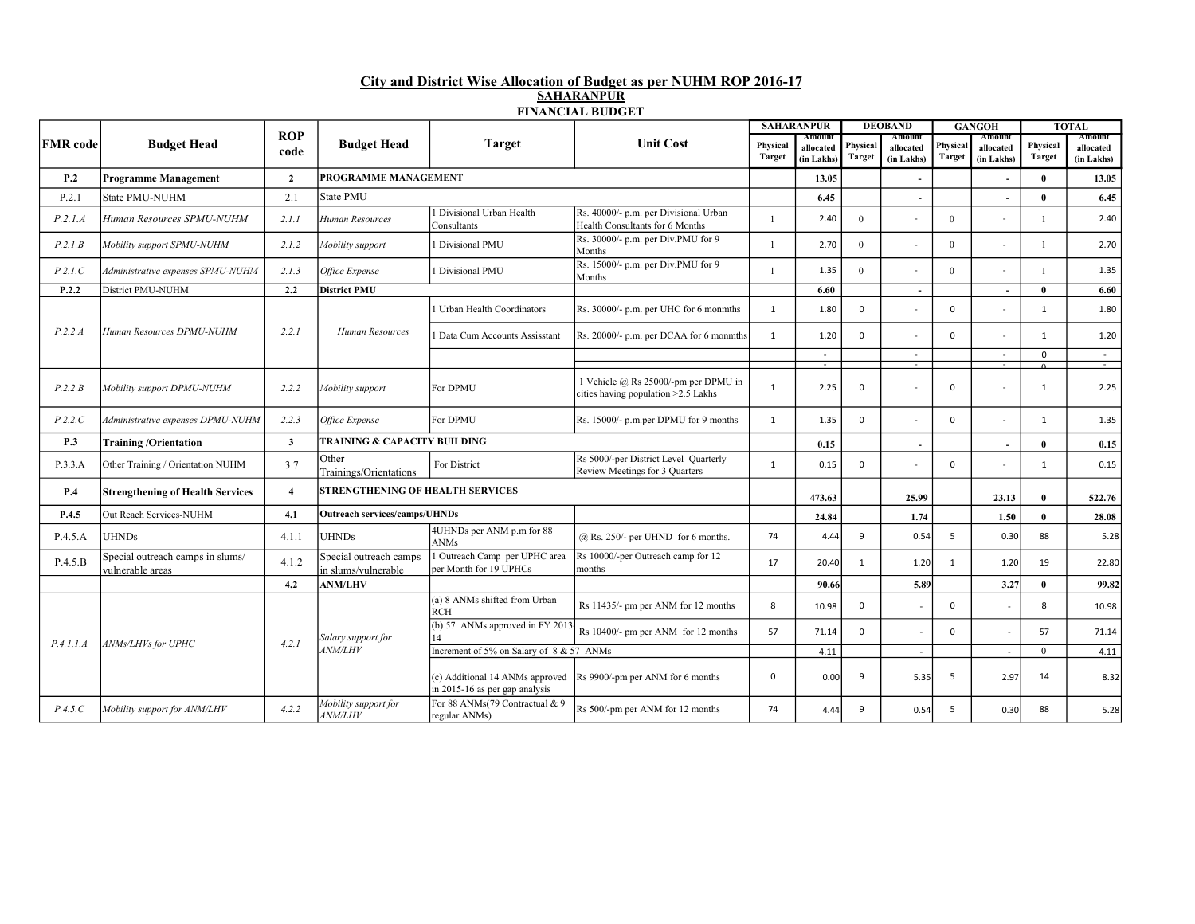## City and District Wise Allocation of Budget as per NUHM ROP 2016-17 SAHARANPUR FINANCIAL BUDGET

|                 |                                                      |                         |                                               |                                                                   |                                                                             |               | <b>SAHARANPUR</b>        |               | <b>DEOBAND</b>                     |               | <b>GANGOH</b>       |               | <b>TOTAL</b>        |
|-----------------|------------------------------------------------------|-------------------------|-----------------------------------------------|-------------------------------------------------------------------|-----------------------------------------------------------------------------|---------------|--------------------------|---------------|------------------------------------|---------------|---------------------|---------------|---------------------|
| <b>FMR</b> code | <b>Budget Head</b>                                   | <b>ROP</b><br>code      | <b>Budget Head</b>                            | <b>Target</b>                                                     | <b>Unit Cost</b>                                                            | Physical      | Amount<br>allocated      | Physical      | Amount<br>allocated                | Physical      | Amount<br>allocated | Physical      | Amount<br>allocated |
|                 |                                                      |                         |                                               |                                                                   |                                                                             | <b>Target</b> | (in Lakhs)               | <b>Target</b> | (in Lakhs)                         | <b>Target</b> | (in Lakhs)          | <b>Target</b> | (in Lakhs)          |
| P.2             | <b>Programme Management</b>                          | $\overline{2}$          | PROGRAMME MANAGEMENT                          |                                                                   |                                                                             |               | 13.05                    |               |                                    |               |                     | $\bf{0}$      | 13.05               |
| P.2.1           | <b>State PMU-NUHM</b>                                | 2.1                     | <b>State PMU</b>                              |                                                                   | 6.45                                                                        |               | $\overline{\phantom{a}}$ |               | $\overline{\phantom{a}}$           | $\mathbf{0}$  | 6.45                |               |                     |
| P.2.1.A         | Human Resources SPMU-NUHM                            | 2.1.1                   | Human Resources                               | Divisional Urban Health<br>Consultants                            | Rs. 40000/- p.m. per Divisional Urban<br>Health Consultants for 6 Months    |               | 2.40                     | $\mathbf{0}$  |                                    | $\mathbf{0}$  |                     | -1            | 2.40                |
| P.2.1.B         | Mobility support SPMU-NUHM                           | 2.1.2                   | Mobility support                              | 1 Divisional PMU                                                  | Rs. 30000/- p.m. per Div.PMU for 9<br>Months                                |               | 2.70                     | $\theta$      | $\overline{\phantom{a}}$           | $\theta$      | $\sim$              | $\mathbf{1}$  | 2.70                |
| P.2.1.C         | Administrative expenses SPMU-NUHM                    | 2.1.3                   | Office Expense                                | Divisional PMU                                                    | Rs. 15000/- p.m. per Div.PMU for 9<br>Months                                |               | 1.35<br>6.60             | $\theta$      |                                    | $\mathbf{0}$  |                     | -1            | 1.35                |
| P.2.2           | District PMU-NUHM                                    | 2.2                     | <b>District PMU</b>                           |                                                                   |                                                                             |               |                          |               | $\blacksquare$                     |               | $\sim$              | $\theta$      | 6.60                |
|                 |                                                      |                         |                                               | Urban Health Coordinators                                         | Rs. 30000/- p.m. per UHC for 6 monmths                                      | 1             | 1.80                     | $\Omega$      | $\sim$                             | $\Omega$      | $\sim$              | $\mathbf{1}$  | 1.80                |
| P.2.2.A         | Human Resources DPMU-NUHM                            | 2.2.1                   | Human Resources                               | Data Cum Accounts Assisstant                                      | Rs. 20000/- p.m. per DCAA for 6 monmths                                     | 1             | 1.20                     | $\Omega$      |                                    | $\Omega$      |                     | 1             | 1.20                |
|                 |                                                      |                         |                                               |                                                                   |                                                                             |               | $\sim$<br>Ξ              |               | $\sim$<br>$\overline{\phantom{a}}$ |               | $\sim$<br><u>т.</u> | $\mathbf 0$   | $\sim$<br>- -       |
| P.2.2.B         | Mobility support DPMU-NUHM                           | 2.2.2                   | Mobility support                              | For DPMU                                                          | 1 Vehicle @ Rs 25000/-pm per DPMU in<br>cities having population >2.5 Lakhs | $\mathbf{1}$  | 2.25                     | $\Omega$      |                                    | 0             |                     | $\mathbf{1}$  | 2.25                |
| P.2.2.C         | Administrative expenses DPMU-NUHM                    | 2.2.3                   | Office Expense                                | For DPMU                                                          | Rs. 15000/- p.m.per DPMU for 9 months                                       | 1             | 1.35                     | $\Omega$      |                                    | $\mathbf 0$   |                     | $\mathbf{1}$  | 1.35                |
| P.3             | <b>Training/Orientation</b>                          | $\mathbf{3}$            | TRAINING & CAPACITY BUILDING                  |                                                                   |                                                                             |               | 0.15                     |               | $\overline{\phantom{a}}$           |               | $\sim$              | $\mathbf{0}$  | 0.15                |
| P.3.3.A         | Other Training / Orientation NUHM                    | 3.7                     | Other<br>Trainings/Orientations               | For District                                                      | Rs 5000/-per District Level Quarterly<br>Review Meetings for 3 Quarters     | 1             | 0.15                     | $\mathbf 0$   |                                    | 0             |                     | 1             | 0.15                |
| P.4             | <b>Strengthening of Health Services</b>              | $\overline{\mathbf{4}}$ |                                               | <b>STRENGTHENING OF HEALTH SERVICES</b>                           |                                                                             |               |                          |               | 25.99                              |               | 23.13               | $\bf{0}$      | 522.76              |
| P.4.5           | Out Reach Services-NUHM                              | 4.1                     | <b>Outreach services/camps/UHNDs</b>          |                                                                   |                                                                             |               | 24.84                    |               | 1.74                               |               | 1.50                | $\bf{0}$      | 28.08               |
| P.4.5.A         | <b>UHNDs</b>                                         | 4.1.1                   | <b>UHNDs</b>                                  | 4UHNDs per ANM p.m for 88<br><b>ANMs</b>                          | $@$ Rs. 250/- per UHND for 6 months.                                        | 74            | 4.44                     | 9             | 0.54                               | 5             | 0.30                | 88            | 5.28                |
| P.4.5.B         | Special outreach camps in slums/<br>vulnerable areas | 4.1.2                   | Special outreach camps<br>in slums/vulnerable | <b>Outreach Camp</b> per UPHC area<br>per Month for 19 UPHCs      | Rs 10000/-per Outreach camp for 12<br>months                                | 17            | 20.40                    | 1             | 1.20                               | $\mathbf{1}$  | 1.20                | 19            | 22.80               |
|                 |                                                      | 4.2                     | <b>ANM/LHV</b>                                |                                                                   |                                                                             |               | 90.66                    |               | 5.89                               |               | 3.27                | $\mathbf{0}$  | 99.82               |
|                 |                                                      | 4.2.1                   | Salary support for                            | (a) 8 ANMs shifted from Urban<br><b>RCH</b>                       | Rs 11435/- pm per ANM for 12 months                                         | 8             | 10.98                    | $\mathbf 0$   |                                    | $\mathbf 0$   |                     | 8             | 10.98               |
| P.4.1.1.A       | ANMs/LHVs for UPHC                                   |                         |                                               | (b) 57 ANMs approved in FY 2013.<br>14                            | Rs 10400/- pm per ANM for 12 months                                         | 57            | 71.14                    | $\Omega$      | $\sim$                             | $\Omega$      | $\sim$              | 57            | 71.14               |
|                 |                                                      |                         | 4NM/LHV                                       | Increment of 5% on Salary of 8 & 57 ANMs                          |                                                                             |               | 4.11                     |               | $\blacksquare$                     |               | $\sim$              | $\theta$      | 4.11                |
|                 |                                                      |                         |                                               | (c) Additional 14 ANMs approved<br>in 2015-16 as per gap analysis | Rs 9900/-pm per ANM for 6 months                                            | 0             | 0.00                     | 9             | 5.35                               | 5             | 2.97                | 14            | 8.32                |
| P.4.5.C         | Mobility support for ANM/LHV                         | 4.2.2                   | Mobility support for<br><b>ANM/LHV</b>        | For 88 ANMs(79 Contractual & 9<br>regular ANMs)                   | Rs 500/-pm per ANM for 12 months                                            | 74            | 4.44                     | 9             | 0.54                               | 5             | 0.30                | 88            | 5.28                |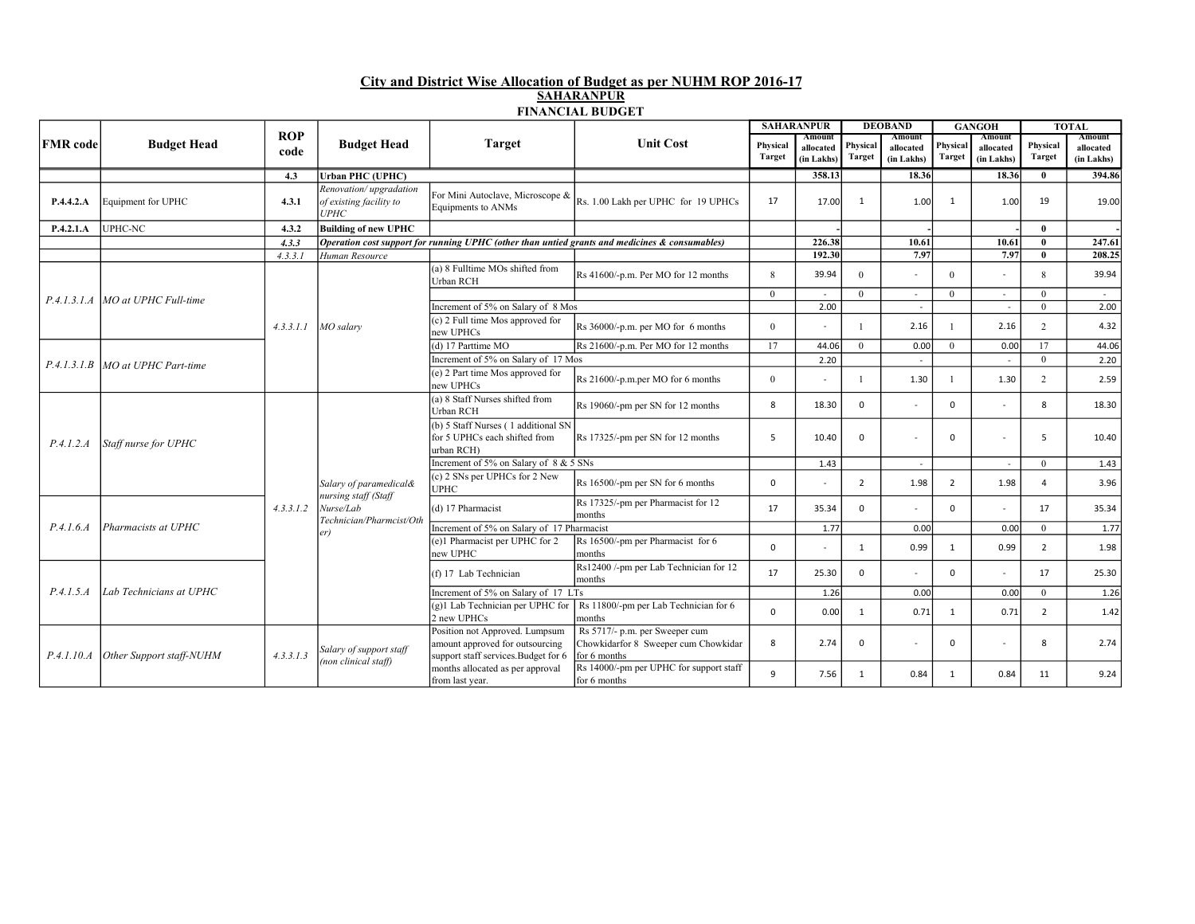## City and District Wise Allocation of Budget as per NUHM ROP 2016-17 SAHARANPUR FINANCIAL BUDGET

|                 | <b>Budget Head</b>                  |                    | <b>Budget Head</b>                                                                             | <b>Target</b>                                                                                             | <b>Unit Cost</b>                                                                               |                           | <b>SAHARANPUR</b>                 |                           | <b>DEOBAND</b>                    | <b>GANGOH</b>             |                                   | <b>TOTAL</b>              |                                   |
|-----------------|-------------------------------------|--------------------|------------------------------------------------------------------------------------------------|-----------------------------------------------------------------------------------------------------------|------------------------------------------------------------------------------------------------|---------------------------|-----------------------------------|---------------------------|-----------------------------------|---------------------------|-----------------------------------|---------------------------|-----------------------------------|
| <b>FMR</b> code |                                     | <b>ROP</b><br>code |                                                                                                |                                                                                                           |                                                                                                | Physical<br><b>Target</b> | Amount<br>allocated<br>(in Lakhs) | Physical<br><b>Target</b> | Amount<br>allocated<br>(in Lakhs) | Physical<br><b>Target</b> | Amount<br>allocated<br>(in Lakhs) | Physical<br><b>Target</b> | Amount<br>allocated<br>(in Lakhs) |
|                 |                                     | 4.3                | Urban PHC (UPHC)                                                                               |                                                                                                           |                                                                                                |                           | 358.13                            |                           | 18.36                             |                           | 18.36                             | $\mathbf{0}$              | 394.86                            |
| P.4.4.2.A       | Equipment for UPHC                  | 4.3.1              | Renovation/upgradation<br>of existing facility to<br>UPHC                                      | For Mini Autoclave, Microscope &<br>Equipments to ANMs                                                    | Rs. 1.00 Lakh per UPHC for 19 UPHCs                                                            | 17                        | 17.00                             | 1                         | 1.00                              | 1                         | 1.00                              | 19                        | 19.00                             |
| P.4.2.1.A       | UPHC-NC                             | 4.3.2              | <b>Building of new UPHC</b>                                                                    |                                                                                                           |                                                                                                |                           |                                   |                           |                                   |                           |                                   | $\mathbf{0}$              |                                   |
|                 |                                     | 4.3.3              |                                                                                                |                                                                                                           | Operation cost support for running UPHC (other than untied grants and medicines & consumables) |                           | 226.38                            |                           | 10.61                             |                           | 10.61                             | $\mathbf{0}$              | 247.61                            |
|                 |                                     | 4.3.3.1            | Human Resource                                                                                 |                                                                                                           |                                                                                                |                           | 192.30                            |                           | 7.97                              |                           | 7.97                              | $\mathbf{0}$              | 208.25                            |
|                 |                                     |                    |                                                                                                | (a) 8 Fulltime MOs shifted from<br>Urban RCH                                                              | Rs 41600/-p.m. Per MO for 12 months                                                            | $\mathbf{8}$              | 39.94                             | $\Omega$                  |                                   | $\Omega$                  |                                   | $\mathbf{R}$              | 39.94                             |
|                 | P.4.1.3.1.A   MO at UPHC Full-time  |                    |                                                                                                |                                                                                                           |                                                                                                | $\theta$                  | $\sim$                            | $\Omega$                  |                                   | $\theta$                  |                                   | $\theta$                  | $\sim$                            |
|                 |                                     |                    |                                                                                                | Increment of 5% on Salary of 8 Mos                                                                        |                                                                                                |                           | 2.00                              |                           | $\omega$                          |                           | $\omega$                          | $\theta$                  | 2.00                              |
|                 |                                     |                    | $4.3.3.1.1$ MO salary                                                                          | (c) 2 Full time Mos approved for<br>new UPHCs                                                             | Rs 36000/-p.m. per MO for 6 months                                                             | $\theta$                  | $\sim$                            |                           | 2.16                              |                           | 2.16                              | $\overline{2}$            | 4.32                              |
|                 | P.4.1.3.1.B MO at UPHC Part-time    |                    |                                                                                                | (d) 17 Parttime MO                                                                                        | Rs 21600/-p.m. Per MO for 12 months                                                            | 17                        | 44.06                             | $\theta$                  | 0.00                              | $\mathbf{0}$              | 0.00                              | 17                        | 44.06                             |
|                 |                                     |                    |                                                                                                | Increment of 5% on Salary of 17 Mos                                                                       |                                                                                                |                           | 2.20                              |                           |                                   |                           |                                   | $\theta$                  | 2.20                              |
|                 |                                     |                    |                                                                                                | (e) 2 Part time Mos approved for<br>new UPHCs                                                             | Rs 21600/-p.m.per MO for 6 months                                                              | $\Omega$                  | $\sim$                            | -1                        | 1.30                              | 1                         | 1.30                              | $\overline{2}$            | 2.59                              |
|                 | Staff nurse for UPHC                |                    |                                                                                                | (a) 8 Staff Nurses shifted from<br>Urban RCH                                                              | Rs 19060/-pm per SN for 12 months                                                              | 8                         | 18.30                             | $\Omega$                  |                                   | $\Omega$                  |                                   | 8                         | 18.30                             |
| P.4.1.2.A       |                                     |                    |                                                                                                | (b) 5 Staff Nurses (1 additional SN<br>for 5 UPHCs each shifted from<br>urban RCH)                        | Rs 17325/-pm per SN for 12 months                                                              | .5                        | 10.40                             | $\Omega$                  |                                   | 0                         |                                   | .5                        | 10.40                             |
|                 |                                     |                    | Salary of paramedical&<br>nursing staff (Staff<br>Nurse/Lab<br>Technician/Pharmcist/Oth<br>er) | Increment of 5% on Salary of 8 & 5 SNs                                                                    |                                                                                                |                           | 1.43                              |                           | $\sim$                            |                           | $\overline{\phantom{a}}$          | $\Omega$                  | 1.43                              |
|                 |                                     |                    |                                                                                                | (c) 2 SNs per UPHCs for 2 New<br><b>UPHC</b>                                                              | Rs 16500/-pm per SN for 6 months                                                               | $\mathbf 0$               |                                   | 2                         | 1.98                              | 2                         | 1.98                              | $\overline{a}$            | 3.96                              |
|                 | Pharmacists at UPHC                 | 4.3.3.1.2          |                                                                                                | (d) 17 Pharmacist                                                                                         | Rs 17325/-pm per Pharmacist for 12<br>months                                                   | 17                        | 35.34                             | $\Omega$                  |                                   | $\Omega$                  |                                   | 17                        | 35.34                             |
| P.4.1.6.4       |                                     |                    |                                                                                                | Increment of 5% on Salary of 17 Pharmacist                                                                |                                                                                                |                           | 1.77                              |                           | 0.00                              |                           | 0.00                              | $\Omega$                  | 1.77                              |
|                 |                                     |                    |                                                                                                | (e)1 Pharmacist per UPHC for 2<br>new UPHC                                                                | Rs 16500/-pm per Pharmacist for 6<br>months                                                    | $\Omega$                  |                                   | $\mathbf{1}$              | 0.99                              | 1                         | 0.99                              | $\overline{2}$            | 1.98                              |
| P.4.1.5.A       |                                     |                    |                                                                                                | (f) 17 Lab Technician                                                                                     | Rs12400 /-pm per Lab Technician for 12<br>months                                               | 17                        | 25.30                             | $\Omega$                  |                                   | $\Omega$                  |                                   | 17                        | 25.30                             |
|                 | Lab Technicians at UPHC             |                    |                                                                                                | Increment of 5% on Salary of 17 LTs                                                                       |                                                                                                |                           | 1.26                              |                           | 0.00                              |                           | 0.00                              | $\theta$                  | 1.26                              |
|                 |                                     |                    |                                                                                                | (g)1 Lab Technician per UPHC for<br>2 new UPHCs                                                           | Rs 11800/-pm per Lab Technician for 6<br>months                                                | $\Omega$                  | 0.00                              | 1                         | 0.71                              | $\mathbf{1}$              | 0.71                              | $\overline{2}$            | 1.42                              |
|                 | P.4.1.10.A Other Support staff-NUHM | 4.3.3.1.3          | Salary of support staff<br>(non clinical staff)                                                | Position not Approved. Lumpsum<br>amount approved for outsourcing<br>support staff services. Budget for 6 | Rs 5717/- p.m. per Sweeper cum<br>Chowkidarfor 8 Sweeper cum Chowkidar<br>for 6 months         | 8                         | 2.74                              | $\Omega$                  |                                   | $\Omega$                  |                                   | 8                         | 2.74                              |
|                 |                                     |                    |                                                                                                | months allocated as per approval<br>from last year.                                                       | Rs 14000/-pm per UPHC for support staff<br>for 6 months                                        | 9                         | 7.56                              | 1                         | 0.84                              | 1                         | 0.84                              | 11                        | 9.24                              |